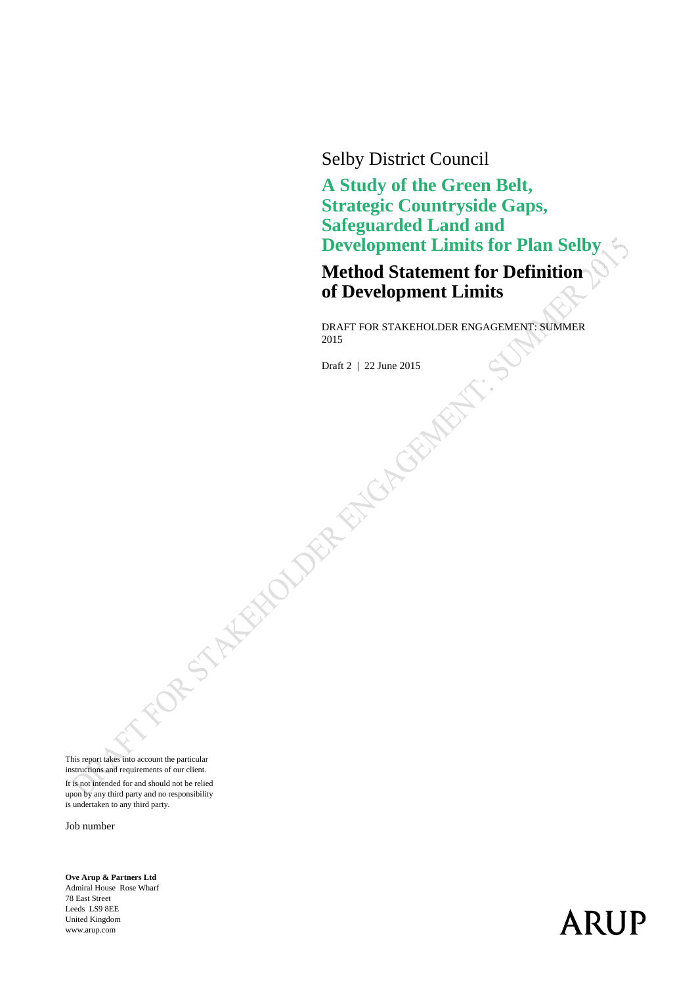Selby District Council

**A Study of the Green Belt, Strategic Countryside Gaps, Safeguarded Land and Development Limits for Plan Selby**

**Method Statement for Definition of Development Limits**

DRAFT FOR STAKEHOLDER ENGAGEMENT: SUMMER 2015

Draft 2 | 22 June 2015

This report takes into account the particular instructions and requirements of our client. It is not intended for and should not be relied upon by any third party and no responsibility is undertaken to any third party.

Job number

**Ove Arup & Partners Ltd**  Admiral House Rose Wharf 78 East Street Leeds LS9 8EE United Kingdom www.arup.com

# **ARUP**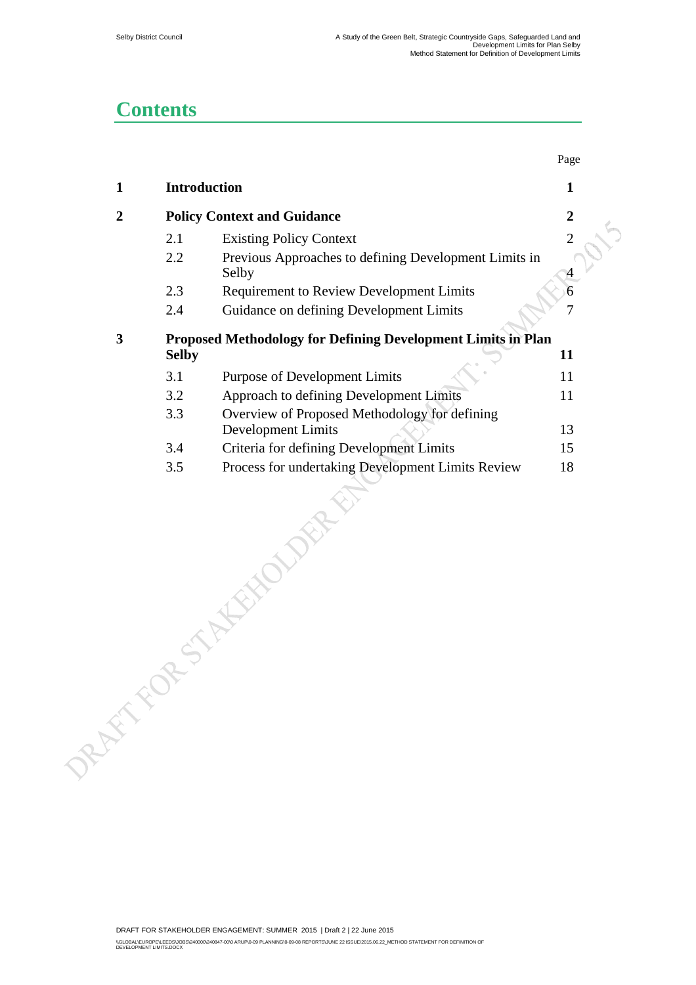### **Contents**

|                  |              |                                                                | Page             |
|------------------|--------------|----------------------------------------------------------------|------------------|
| $\mathbf{1}$     | Introduction |                                                                | $\mathbf{1}$     |
| $\boldsymbol{2}$ |              | <b>Policy Context and Guidance</b>                             | $\boldsymbol{2}$ |
|                  | 2.1          | <b>Existing Policy Context</b>                                 | $\overline{2}$   |
|                  | 2.2          | Previous Approaches to defining Development Limits in<br>Selby |                  |
|                  | 2.3          | <b>Requirement to Review Development Limits</b>                |                  |
|                  | 2.4          | Guidance on defining Development Limits                        | 7                |
| 3                |              | Proposed Methodology for Defining Development Limits in Plan   |                  |
|                  | <b>Selby</b> |                                                                | 11               |
|                  | 3.1          | <b>Purpose of Development Limits</b>                           | 11               |
|                  | 3.2          | Approach to defining Development Limits                        | 11               |
|                  | 3.3          | Overview of Proposed Methodology for defining                  |                  |
|                  |              | Development Limits                                             | 13               |
|                  | 3.4          | Criteria for defining Development Limits                       | 15               |
|                  | 3.5          | Process for undertaking Development Limits Review              | 18               |
| DREAM FOR        |              | TAXELO                                                         |                  |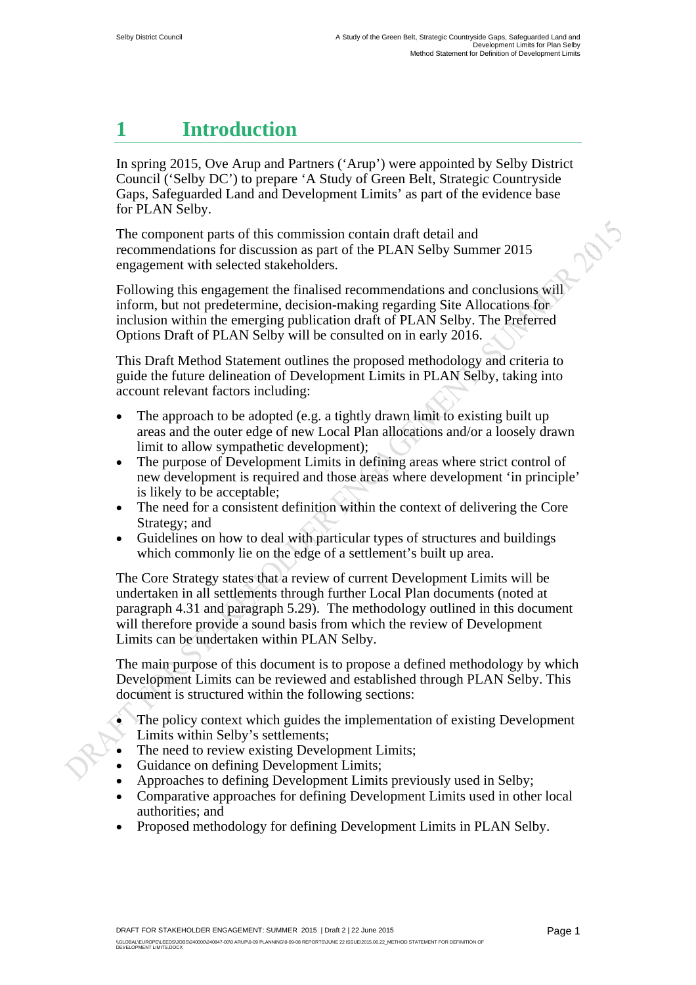### **1 Introduction**

In spring 2015, Ove Arup and Partners ('Arup') were appointed by Selby District Council ('Selby DC') to prepare 'A Study of Green Belt, Strategic Countryside Gaps, Safeguarded Land and Development Limits' as part of the evidence base for PLAN Selby. 2015

The component parts of this commission contain draft detail and recommendations for discussion as part of the PLAN Selby Summer 2015 engagement with selected stakeholders.

Following this engagement the finalised recommendations and conclusions will inform, but not predetermine, decision-making regarding Site Allocations for inclusion within the emerging publication draft of PLAN Selby. The Preferred Options Draft of PLAN Selby will be consulted on in early 2016.

This Draft Method Statement outlines the proposed methodology and criteria to guide the future delineation of Development Limits in PLAN Selby, taking into account relevant factors including:

- The approach to be adopted (e.g. a tightly drawn limit to existing built up areas and the outer edge of new Local Plan allocations and/or a loosely drawn limit to allow sympathetic development);
- The purpose of Development Limits in defining areas where strict control of new development is required and those areas where development 'in principle' is likely to be acceptable;
- The need for a consistent definition within the context of delivering the Core Strategy; and
- Guidelines on how to deal with particular types of structures and buildings which commonly lie on the edge of a settlement's built up area.

The Core Strategy states that a review of current Development Limits will be undertaken in all settlements through further Local Plan documents (noted at paragraph 4.31 and paragraph 5.29). The methodology outlined in this document will therefore provide a sound basis from which the review of Development Limits can be undertaken within PLAN Selby.

The main purpose of this document is to propose a defined methodology by which Development Limits can be reviewed and established through PLAN Selby. This document is structured within the following sections:

- The policy context which guides the implementation of existing Development Limits within Selby's settlements;
- The need to review existing Development Limits;
- Guidance on defining Development Limits;
- Approaches to defining Development Limits previously used in Selby;
- Comparative approaches for defining Development Limits used in other local authorities; and
- Proposed methodology for defining Development Limits in PLAN Selby.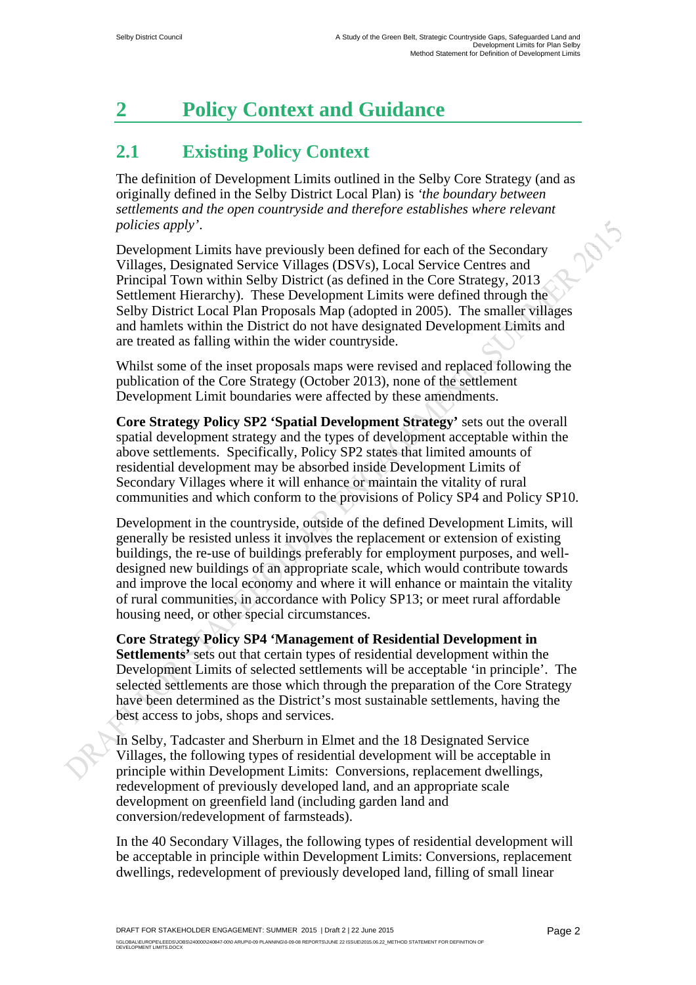## **2 Policy Context and Guidance**

### **2.1 Existing Policy Context**

The definition of Development Limits outlined in the Selby Core Strategy (and as originally defined in the Selby District Local Plan) is *'the boundary between settlements and the open countryside and therefore establishes where relevant*  2015 *policies apply'*.

Development Limits have previously been defined for each of the Secondary Villages, Designated Service Villages (DSVs), Local Service Centres and Principal Town within Selby District (as defined in the Core Strategy, 2013 Settlement Hierarchy). These Development Limits were defined through the Selby District Local Plan Proposals Map (adopted in 2005). The smaller villages and hamlets within the District do not have designated Development Limits and are treated as falling within the wider countryside.

Whilst some of the inset proposals maps were revised and replaced following the publication of the Core Strategy (October 2013), none of the settlement Development Limit boundaries were affected by these amendments.

**Core Strategy Policy SP2 'Spatial Development Strategy'** sets out the overall spatial development strategy and the types of development acceptable within the above settlements. Specifically, Policy SP2 states that limited amounts of residential development may be absorbed inside Development Limits of Secondary Villages where it will enhance or maintain the vitality of rural communities and which conform to the provisions of Policy SP4 and Policy SP10.

Development in the countryside, outside of the defined Development Limits, will generally be resisted unless it involves the replacement or extension of existing buildings, the re-use of buildings preferably for employment purposes, and welldesigned new buildings of an appropriate scale, which would contribute towards and improve the local economy and where it will enhance or maintain the vitality of rural communities, in accordance with Policy SP13; or meet rural affordable housing need, or other special circumstances.

**Core Strategy Policy SP4 'Management of Residential Development in Settlements'** sets out that certain types of residential development within the Development Limits of selected settlements will be acceptable 'in principle'. The selected settlements are those which through the preparation of the Core Strategy have been determined as the District's most sustainable settlements, having the best access to jobs, shops and services.

In Selby, Tadcaster and Sherburn in Elmet and the 18 Designated Service Villages, the following types of residential development will be acceptable in principle within Development Limits: Conversions, replacement dwellings, redevelopment of previously developed land, and an appropriate scale development on greenfield land (including garden land and conversion/redevelopment of farmsteads).

In the 40 Secondary Villages, the following types of residential development will be acceptable in principle within Development Limits: Conversions, replacement dwellings, redevelopment of previously developed land, filling of small linear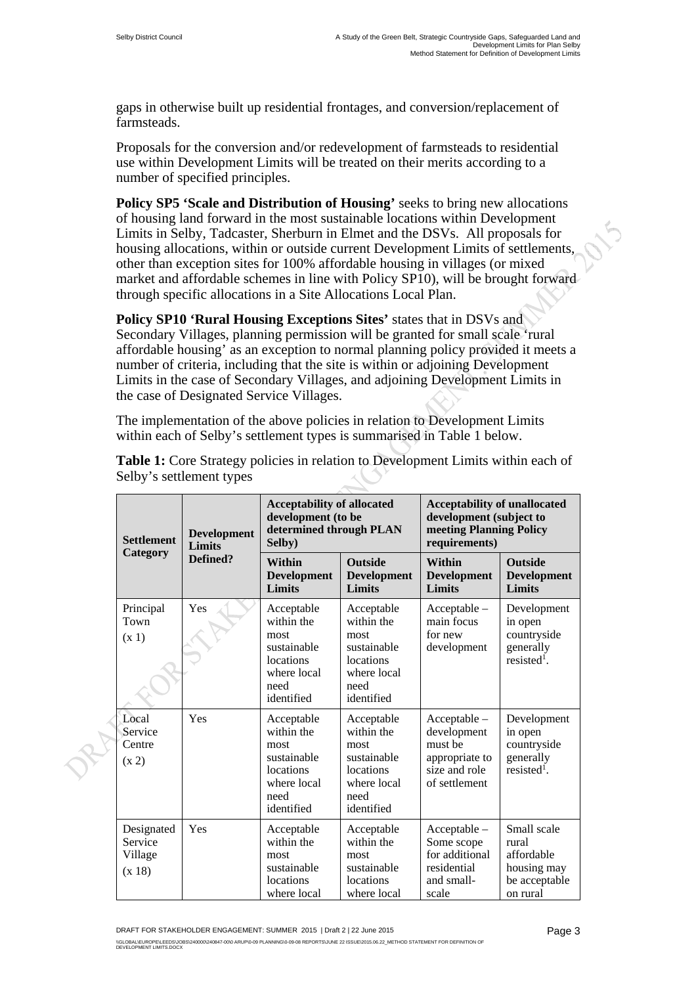gaps in otherwise built up residential frontages, and conversion/replacement of farmsteads.

Proposals for the conversion and/or redevelopment of farmsteads to residential use within Development Limits will be treated on their merits according to a number of specified principles.

**Policy SP5 'Scale and Distribution of Housing' seeks to bring new allocations** of housing land forward in the most sustainable locations within Development Limits in Selby, Tadcaster, Sherburn in Elmet and the DSVs. All proposals for housing allocations, within or outside current Development Limits of settlements, other than exception sites for 100% affordable housing in villages (or mixed market and affordable schemes in line with Policy SP10), will be brought forward through specific allocations in a Site Allocations Local Plan.

Policy SP10 'Rural Housing Exceptions Sites' states that in DSVs and Secondary Villages, planning permission will be granted for small scale 'rural affordable housing' as an exception to normal planning policy provided it meets a number of criteria, including that the site is within or adjoining Development Limits in the case of Secondary Villages, and adjoining Development Limits in the case of Designated Service Villages.

The implementation of the above policies in relation to Development Limits within each of Selby's settlement types is summarised in Table 1 below.

| <b>Settlement</b><br>Category              | <b>Development</b><br><b>Limits</b> | <b>Acceptability of allocated</b><br>development (to be<br>determined through PLAN<br>Selby)      |                                                                                                   | <b>Acceptability of unallocated</b><br>development (subject to<br>meeting Planning Policy<br>requirements) |                                                                                |
|--------------------------------------------|-------------------------------------|---------------------------------------------------------------------------------------------------|---------------------------------------------------------------------------------------------------|------------------------------------------------------------------------------------------------------------|--------------------------------------------------------------------------------|
|                                            | Defined?                            | Within<br><b>Development</b><br><b>Limits</b>                                                     | <b>Outside</b><br><b>Development</b><br><b>Limits</b>                                             | Within<br><b>Development</b><br><b>Limits</b>                                                              | <b>Outside</b><br><b>Development</b><br><b>Limits</b>                          |
| Principal<br>Town<br>(x 1)                 | Yes                                 | Acceptable<br>within the<br>most<br>sustainable<br>locations<br>where local<br>need<br>identified | Acceptable<br>within the<br>most<br>sustainable<br>locations<br>where local<br>need<br>identified | $Acceptable -$<br>main focus<br>for new<br>development                                                     | Development<br>in open<br>countryside<br>generally<br>$resisted1$ .            |
| Local<br>Service<br>Centre<br>(x 2)        | Yes                                 | Acceptable<br>within the<br>most<br>sustainable<br>locations<br>where local<br>need<br>identified | Acceptable<br>within the<br>most<br>sustainable<br>locations<br>where local<br>need<br>identified | Acceptable -<br>development<br>must be<br>appropriate to<br>size and role<br>of settlement                 | Development<br>in open<br>countryside<br>generally<br>resisted <sup>1</sup> .  |
| Designated<br>Service<br>Village<br>(x 18) | Yes                                 | Acceptable<br>within the<br>most<br>sustainable<br>locations<br>where local                       | Acceptable<br>within the<br>most<br>sustainable<br>locations<br>where local                       | $Acceptable -$<br>Some scope<br>for additional<br>residential<br>and small-<br>scale                       | Small scale<br>rural<br>affordable<br>housing may<br>be acceptable<br>on rural |

**Table 1:** Core Strategy policies in relation to Development Limits within each of Selby's settlement types

DRAFT FOR STAKEHOLDER ENGAGEMENT: SUMMER 2015 | Draft 2 | 22 June 2015 \\GLOBAL\EUROPE\LEEDS\JOBS\240000\240847-00\0 ARUP\0-09 PLANNING\0-09-08 REPORTS\JUNE 22 ISSUE\2015.06.22\_METHOD STATEMENT FOR DEFINITION OF<br>DEVELOPMENT LIMITS.DOCX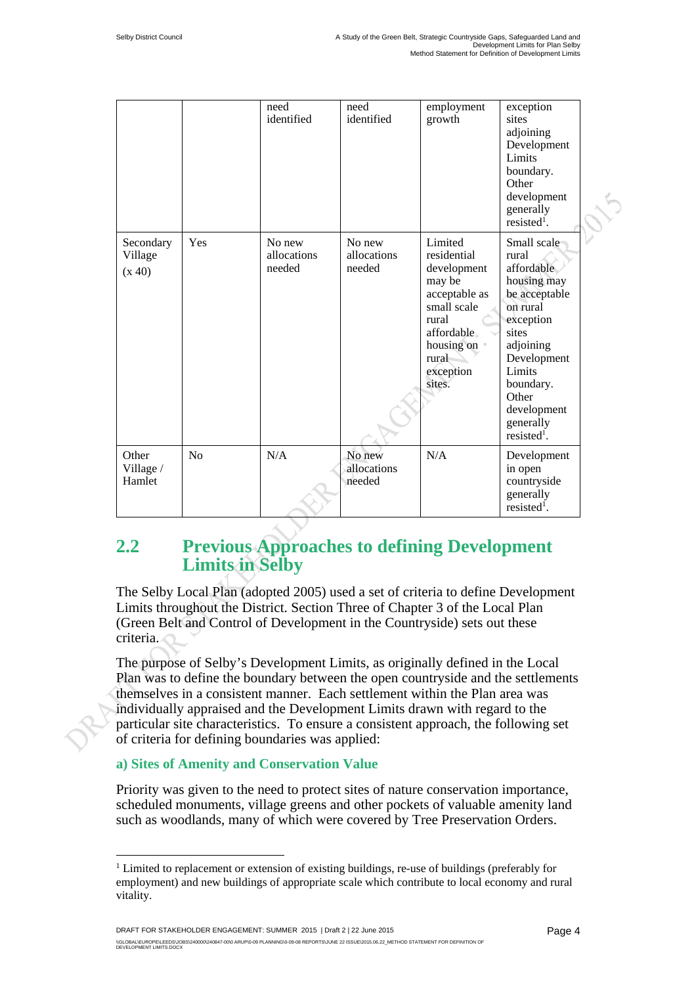|                                |                | need<br>identified              | need<br>identified              | employment<br>growth                                                                                                                                  | exception<br>sites<br>adjoining<br>Development<br>Limits<br>boundary.<br>Other<br>development<br>generally<br>resisted <sup>1</sup> .                                                                                   |  |
|--------------------------------|----------------|---------------------------------|---------------------------------|-------------------------------------------------------------------------------------------------------------------------------------------------------|-------------------------------------------------------------------------------------------------------------------------------------------------------------------------------------------------------------------------|--|
| Secondary<br>Village<br>(x 40) | Yes            | No new<br>allocations<br>needed | No new<br>allocations<br>needed | Limited<br>residential<br>development<br>may be<br>acceptable as<br>small scale<br>rural<br>affordable.<br>housing on<br>rural<br>exception<br>sites. | Small scale<br>rural<br>affordable<br>housing may<br>be acceptable<br>on rural<br>exception<br>sites<br>adjoining<br>Development<br>Limits<br>boundary.<br>Other<br>development<br>generally<br>resisted <sup>1</sup> . |  |
| Other<br>Village /<br>Hamlet   | N <sub>o</sub> | N/A                             | No new<br>allocations<br>needed | N/A                                                                                                                                                   | Development<br>in open<br>countryside<br>generally<br>resisted <sup>1</sup> .                                                                                                                                           |  |

### **2.2 Previous Approaches to defining Development Limits in Selby**

The Selby Local Plan (adopted 2005) used a set of criteria to define Development Limits throughout the District. Section Three of Chapter 3 of the Local Plan (Green Belt and Control of Development in the Countryside) sets out these criteria.

The purpose of Selby's Development Limits, as originally defined in the Local Plan was to define the boundary between the open countryside and the settlements themselves in a consistent manner. Each settlement within the Plan area was individually appraised and the Development Limits drawn with regard to the particular site characteristics. To ensure a consistent approach, the following set of criteria for defining boundaries was applied:

#### **a) Sites of Amenity and Conservation Value**

 $\overline{a}$ 

Priority was given to the need to protect sites of nature conservation importance, scheduled monuments, village greens and other pockets of valuable amenity land such as woodlands, many of which were covered by Tree Preservation Orders.

<sup>&</sup>lt;sup>1</sup> Limited to replacement or extension of existing buildings, re-use of buildings (preferably for employment) and new buildings of appropriate scale which contribute to local economy and rural vitality.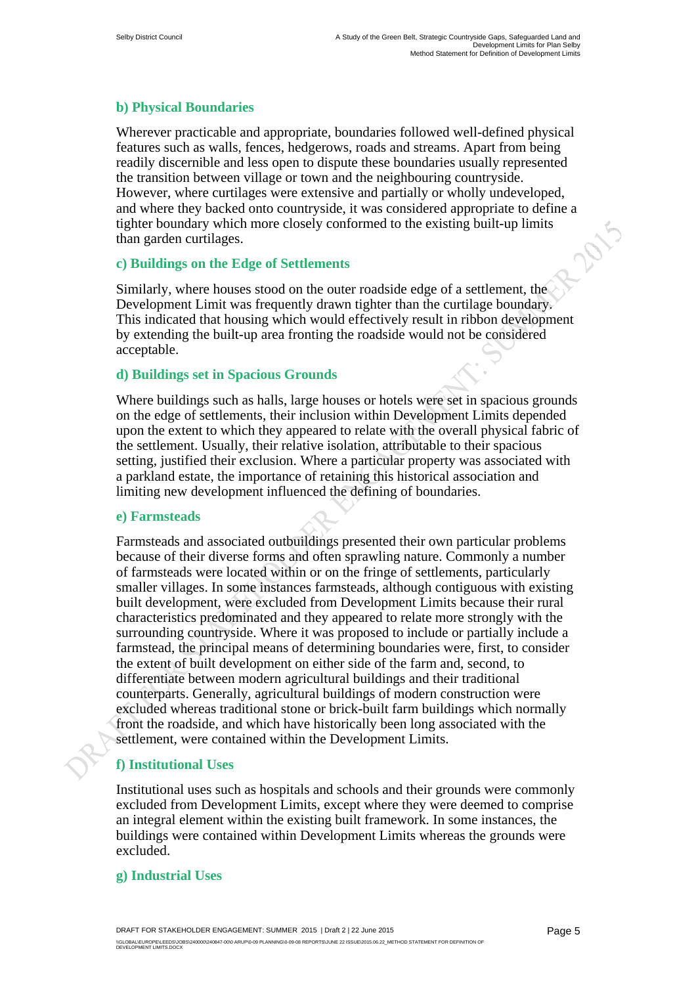#### **b) Physical Boundaries**

Wherever practicable and appropriate, boundaries followed well-defined physical features such as walls, fences, hedgerows, roads and streams. Apart from being readily discernible and less open to dispute these boundaries usually represented the transition between village or town and the neighbouring countryside. However, where curtilages were extensive and partially or wholly undeveloped, and where they backed onto countryside, it was considered appropriate to define a tighter boundary which more closely conformed to the existing built-up limits than garden curtilages. 201

#### **c) Buildings on the Edge of Settlements**

Similarly, where houses stood on the outer roadside edge of a settlement, the Development Limit was frequently drawn tighter than the curtilage boundary. This indicated that housing which would effectively result in ribbon development by extending the built-up area fronting the roadside would not be considered acceptable.

#### **d) Buildings set in Spacious Grounds**

Where buildings such as halls, large houses or hotels were set in spacious grounds on the edge of settlements, their inclusion within Development Limits depended upon the extent to which they appeared to relate with the overall physical fabric of the settlement. Usually, their relative isolation, attributable to their spacious setting, justified their exclusion. Where a particular property was associated with a parkland estate, the importance of retaining this historical association and limiting new development influenced the defining of boundaries.

#### **e) Farmsteads**

Farmsteads and associated outbuildings presented their own particular problems because of their diverse forms and often sprawling nature. Commonly a number of farmsteads were located within or on the fringe of settlements, particularly smaller villages. In some instances farmsteads, although contiguous with existing built development, were excluded from Development Limits because their rural characteristics predominated and they appeared to relate more strongly with the surrounding countryside. Where it was proposed to include or partially include a farmstead, the principal means of determining boundaries were, first, to consider the extent of built development on either side of the farm and, second, to differentiate between modern agricultural buildings and their traditional counterparts. Generally, agricultural buildings of modern construction were excluded whereas traditional stone or brick-built farm buildings which normally front the roadside, and which have historically been long associated with the settlement, were contained within the Development Limits.

#### **f) Institutional Uses**

Institutional uses such as hospitals and schools and their grounds were commonly excluded from Development Limits, except where they were deemed to comprise an integral element within the existing built framework. In some instances, the buildings were contained within Development Limits whereas the grounds were excluded.

#### **g) Industrial Uses**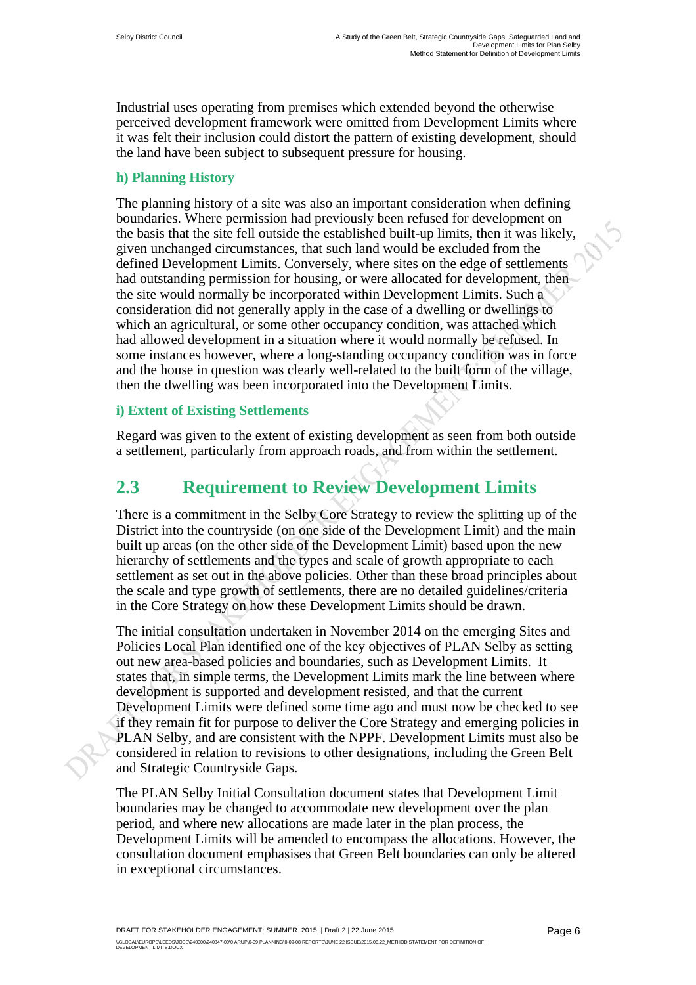Industrial uses operating from premises which extended beyond the otherwise perceived development framework were omitted from Development Limits where it was felt their inclusion could distort the pattern of existing development, should the land have been subject to subsequent pressure for housing.

#### **h) Planning History**

The planning history of a site was also an important consideration when defining boundaries. Where permission had previously been refused for development on the basis that the site fell outside the established built-up limits, then it was likely, given unchanged circumstances, that such land would be excluded from the defined Development Limits. Conversely, where sites on the edge of settlements had outstanding permission for housing, or were allocated for development, then the site would normally be incorporated within Development Limits. Such a consideration did not generally apply in the case of a dwelling or dwellings to which an agricultural, or some other occupancy condition, was attached which had allowed development in a situation where it would normally be refused. In some instances however, where a long-standing occupancy condition was in force and the house in question was clearly well-related to the built form of the village, then the dwelling was been incorporated into the Development Limits.

#### **i) Extent of Existing Settlements**

Regard was given to the extent of existing development as seen from both outside a settlement, particularly from approach roads, and from within the settlement.

### **2.3 Requirement to Review Development Limits**

There is a commitment in the Selby Core Strategy to review the splitting up of the District into the countryside (on one side of the Development Limit) and the main built up areas (on the other side of the Development Limit) based upon the new hierarchy of settlements and the types and scale of growth appropriate to each settlement as set out in the above policies. Other than these broad principles about the scale and type growth of settlements, there are no detailed guidelines/criteria in the Core Strategy on how these Development Limits should be drawn.

The initial consultation undertaken in November 2014 on the emerging Sites and Policies Local Plan identified one of the key objectives of PLAN Selby as setting out new area-based policies and boundaries, such as Development Limits. It states that, in simple terms, the Development Limits mark the line between where development is supported and development resisted, and that the current Development Limits were defined some time ago and must now be checked to see if they remain fit for purpose to deliver the Core Strategy and emerging policies in PLAN Selby, and are consistent with the NPPF. Development Limits must also be considered in relation to revisions to other designations, including the Green Belt and Strategic Countryside Gaps.

The PLAN Selby Initial Consultation document states that Development Limit boundaries may be changed to accommodate new development over the plan period, and where new allocations are made later in the plan process, the Development Limits will be amended to encompass the allocations. However, the consultation document emphasises that Green Belt boundaries can only be altered in exceptional circumstances.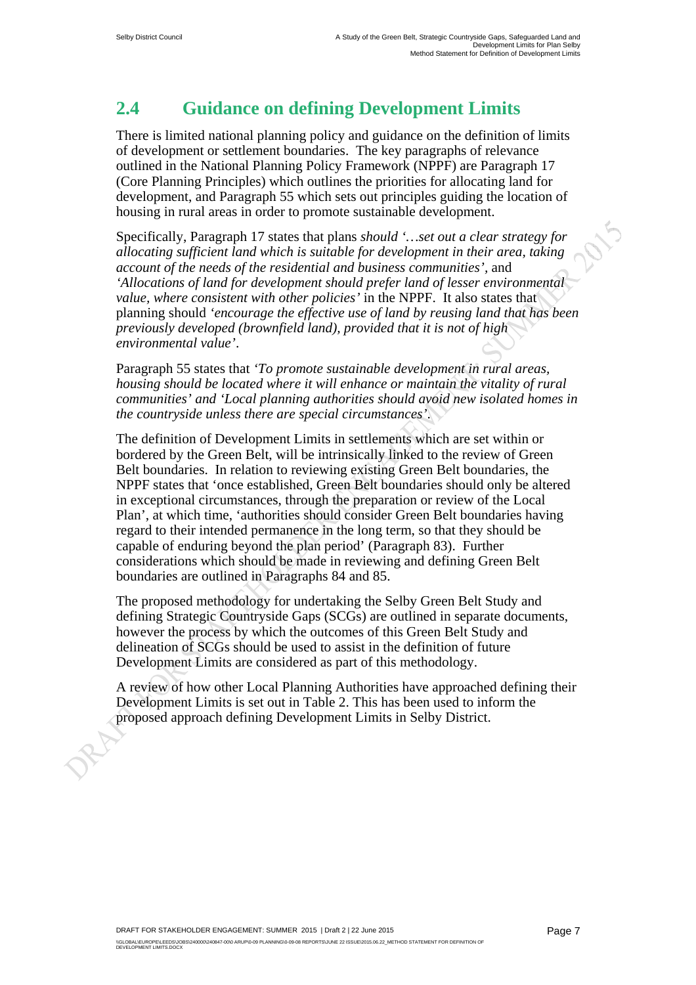### **2.4 Guidance on defining Development Limits**

There is limited national planning policy and guidance on the definition of limits of development or settlement boundaries. The key paragraphs of relevance outlined in the National Planning Policy Framework (NPPF) are Paragraph 17 (Core Planning Principles) which outlines the priorities for allocating land for development, and Paragraph 55 which sets out principles guiding the location of housing in rural areas in order to promote sustainable development.

Specifically, Paragraph 17 states that plans *should '…set out a clear strategy for allocating sufficient land which is suitable for development in their area, taking account of the needs of the residential and business communities',* and *'Allocations of land for development should prefer land of lesser environmental value, where consistent with other policies'* in the NPPF. It also states that planning should *'encourage the effective use of land by reusing land that has been previously developed (brownfield land), provided that it is not of high environmental value'*.

Paragraph 55 states that *'To promote sustainable development in rural areas, housing should be located where it will enhance or maintain the vitality of rural communities' and 'Local planning authorities should avoid new isolated homes in the countryside unless there are special circumstances'*.

The definition of Development Limits in settlements which are set within or bordered by the Green Belt, will be intrinsically linked to the review of Green Belt boundaries. In relation to reviewing existing Green Belt boundaries, the NPPF states that 'once established, Green Belt boundaries should only be altered in exceptional circumstances, through the preparation or review of the Local Plan', at which time, 'authorities should consider Green Belt boundaries having regard to their intended permanence in the long term, so that they should be capable of enduring beyond the plan period' (Paragraph 83). Further considerations which should be made in reviewing and defining Green Belt boundaries are outlined in Paragraphs 84 and 85.

The proposed methodology for undertaking the Selby Green Belt Study and defining Strategic Countryside Gaps (SCGs) are outlined in separate documents, however the process by which the outcomes of this Green Belt Study and delineation of SCGs should be used to assist in the definition of future Development Limits are considered as part of this methodology.

A review of how other Local Planning Authorities have approached defining their Development Limits is set out in Table 2. This has been used to inform the proposed approach defining Development Limits in Selby District.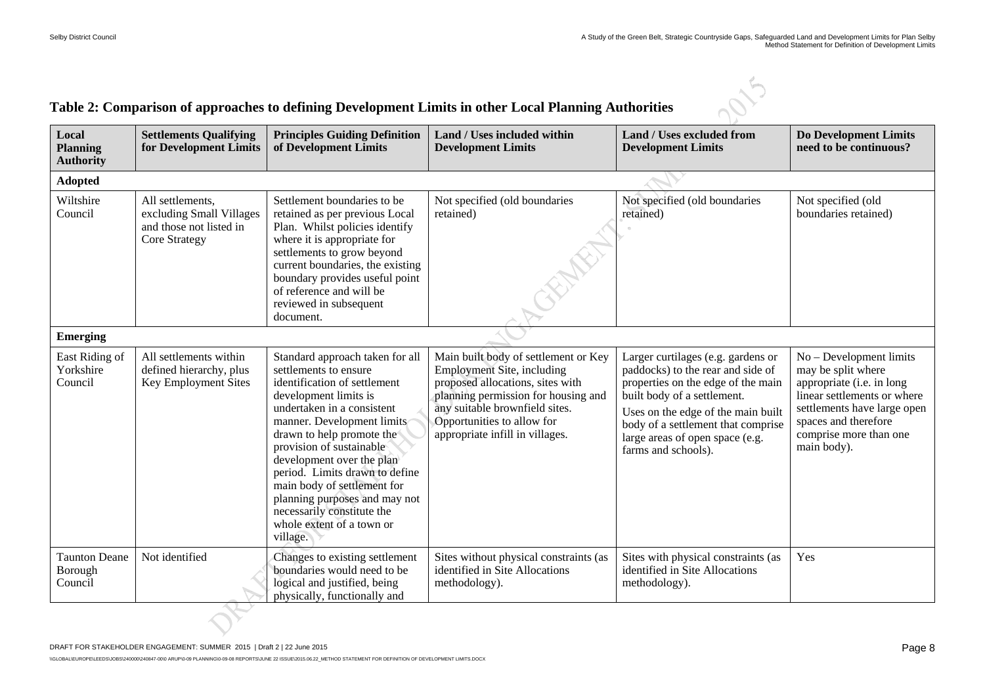#### **Table 2: Comparison of approaches to defining Development Limits in other Local Planning Authorities**

| Local<br><b>Planning</b><br><b>Authority</b> | <b>Settlements Qualifying</b><br>for Development Limits                                         | <b>Principles Guiding Definition</b><br>of Development Limits                                                                                                                                                                                                                                                                                                                                                                                | Land / Uses included within<br><b>Development Limits</b>                                                                                                                                                                                                | <b>Land / Uses excluded from</b><br><b>Development Limits</b>                                                                                                                                                                                                                      | <b>Do Development Limits</b><br>need to be continuous?                                                                                                                                                    |
|----------------------------------------------|-------------------------------------------------------------------------------------------------|----------------------------------------------------------------------------------------------------------------------------------------------------------------------------------------------------------------------------------------------------------------------------------------------------------------------------------------------------------------------------------------------------------------------------------------------|---------------------------------------------------------------------------------------------------------------------------------------------------------------------------------------------------------------------------------------------------------|------------------------------------------------------------------------------------------------------------------------------------------------------------------------------------------------------------------------------------------------------------------------------------|-----------------------------------------------------------------------------------------------------------------------------------------------------------------------------------------------------------|
| <b>Adopted</b>                               |                                                                                                 |                                                                                                                                                                                                                                                                                                                                                                                                                                              |                                                                                                                                                                                                                                                         |                                                                                                                                                                                                                                                                                    |                                                                                                                                                                                                           |
| Wiltshire<br>Council                         | All settlements,<br>excluding Small Villages<br>and those not listed in<br><b>Core Strategy</b> | Settlement boundaries to be<br>retained as per previous Local<br>Plan. Whilst policies identify<br>where it is appropriate for<br>settlements to grow beyond<br>current boundaries, the existing<br>boundary provides useful point<br>of reference and will be<br>reviewed in subsequent<br>document.                                                                                                                                        | Not specified (old boundaries<br>retained)                                                                                                                                                                                                              | Not specified (old boundaries<br>retained)                                                                                                                                                                                                                                         | Not specified (old<br>boundaries retained)                                                                                                                                                                |
| <b>Emerging</b>                              |                                                                                                 |                                                                                                                                                                                                                                                                                                                                                                                                                                              |                                                                                                                                                                                                                                                         |                                                                                                                                                                                                                                                                                    |                                                                                                                                                                                                           |
| East Riding of<br>Yorkshire<br>Council       | All settlements within<br>defined hierarchy, plus<br><b>Key Employment Sites</b>                | Standard approach taken for all<br>settlements to ensure<br>identification of settlement<br>development limits is<br>undertaken in a consistent<br>manner. Development limits<br>drawn to help promote the<br>provision of sustainable<br>development over the plan<br>period. Limits drawn to define<br>main body of settlement for<br>planning purposes and may not<br>necessarily constitute the<br>whole extent of a town or<br>village. | Main built body of settlement or Key<br><b>Employment Site, including</b><br>proposed allocations, sites with<br>planning permission for housing and<br>any suitable brownfield sites.<br>Opportunities to allow for<br>appropriate infill in villages. | Larger curtilages (e.g. gardens or<br>paddocks) to the rear and side of<br>properties on the edge of the main<br>built body of a settlement.<br>Uses on the edge of the main built<br>body of a settlement that comprise<br>large areas of open space (e.g.<br>farms and schools). | No - Development limits<br>may be split where<br>appropriate (i.e. in long<br>linear settlements or where<br>settlements have large open<br>spaces and therefore<br>comprise more than one<br>main body). |
| <b>Taunton Deane</b><br>Borough<br>Council   | Not identified                                                                                  | Changes to existing settlement<br>boundaries would need to be<br>logical and justified, being<br>physically, functionally and                                                                                                                                                                                                                                                                                                                | Sites without physical constraints (as<br>identified in Site Allocations<br>methodology).                                                                                                                                                               | Sites with physical constraints (as<br>identified in Site Allocations<br>methodology).                                                                                                                                                                                             | Yes                                                                                                                                                                                                       |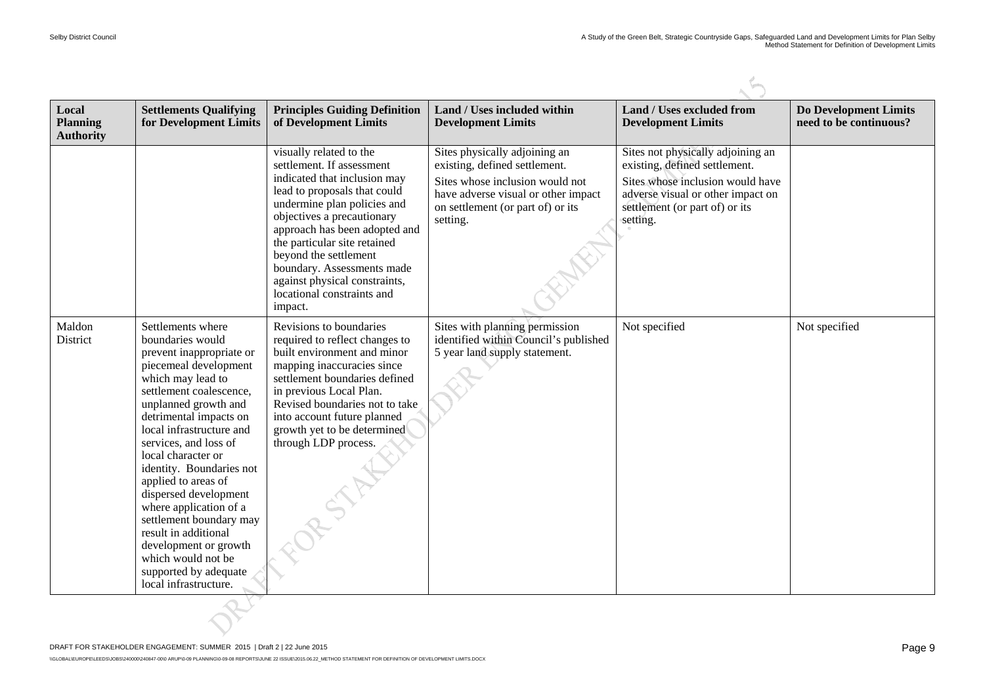| Local<br><b>Planning</b><br><b>Authority</b> | <b>Settlements Qualifying</b><br>for Development Limits                                                                                                                                                                                                                                                                                                                                                                                                                                                                           | <b>Principles Guiding Definition</b><br>of Development Limits                                                                                                                                                                                                                                                                                                                       | Land / Uses included within<br><b>Development Limits</b>                                                                                                                                  | <b>Land / Uses excluded from</b><br><b>Development Limits</b>                                                                                                                             | <b>Do Development Limits</b><br>need to be continuous? |
|----------------------------------------------|-----------------------------------------------------------------------------------------------------------------------------------------------------------------------------------------------------------------------------------------------------------------------------------------------------------------------------------------------------------------------------------------------------------------------------------------------------------------------------------------------------------------------------------|-------------------------------------------------------------------------------------------------------------------------------------------------------------------------------------------------------------------------------------------------------------------------------------------------------------------------------------------------------------------------------------|-------------------------------------------------------------------------------------------------------------------------------------------------------------------------------------------|-------------------------------------------------------------------------------------------------------------------------------------------------------------------------------------------|--------------------------------------------------------|
|                                              |                                                                                                                                                                                                                                                                                                                                                                                                                                                                                                                                   | visually related to the<br>settlement. If assessment<br>indicated that inclusion may<br>lead to proposals that could<br>undermine plan policies and<br>objectives a precautionary<br>approach has been adopted and<br>the particular site retained<br>beyond the settlement<br>boundary. Assessments made<br>against physical constraints,<br>locational constraints and<br>impact. | Sites physically adjoining an<br>existing, defined settlement.<br>Sites whose inclusion would not<br>have adverse visual or other impact<br>on settlement (or part of) or its<br>setting. | Sites not physically adjoining an<br>existing, defined settlement.<br>Sites whose inclusion would have<br>adverse visual or other impact on<br>settlement (or part of) or its<br>setting. |                                                        |
| Maldon<br>District                           | Settlements where<br>boundaries would<br>prevent inappropriate or<br>piecemeal development<br>which may lead to<br>settlement coalescence,<br>unplanned growth and<br>detrimental impacts on<br>local infrastructure and<br>services, and loss of<br>local character or<br>identity. Boundaries not<br>applied to areas of<br>dispersed development<br>where application of a<br>settlement boundary may<br>result in additional<br>development or growth<br>which would not be<br>supported by adequate<br>local infrastructure. | Revisions to boundaries<br>required to reflect changes to<br>built environment and minor<br>mapping inaccuracies since<br>settlement boundaries defined<br>in previous Local Plan.<br>Revised boundaries not to take<br>into account future planned<br>growth yet to be determined<br>through LDP process.<br>RSTAT                                                                 | Sites with planning permission<br>identified within Council's published<br>5 year land supply statement.                                                                                  | Not specified                                                                                                                                                                             | Not specified                                          |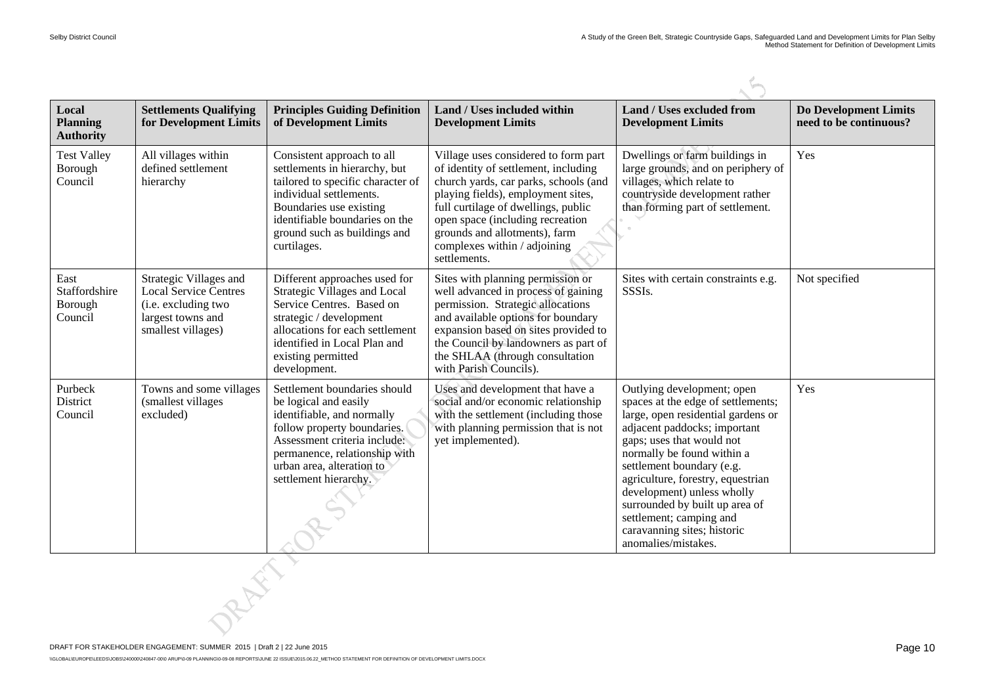| Local<br><b>Planning</b><br><b>Authority</b> | <b>Settlements Qualifying</b><br>for Development Limits                                                                  | <b>Principles Guiding Definition</b><br>of Development Limits                                                                                                                                                                             | Land / Uses included within<br><b>Development Limits</b>                                                                                                                                                                                                                                                                | <b>Land / Uses excluded from</b><br><b>Development Limits</b>                                                                                                                                                                                                                                                                                                                                                        | <b>Do Development Limits</b><br>need to be continuous? |
|----------------------------------------------|--------------------------------------------------------------------------------------------------------------------------|-------------------------------------------------------------------------------------------------------------------------------------------------------------------------------------------------------------------------------------------|-------------------------------------------------------------------------------------------------------------------------------------------------------------------------------------------------------------------------------------------------------------------------------------------------------------------------|----------------------------------------------------------------------------------------------------------------------------------------------------------------------------------------------------------------------------------------------------------------------------------------------------------------------------------------------------------------------------------------------------------------------|--------------------------------------------------------|
| <b>Test Valley</b><br>Borough<br>Council     | All villages within<br>defined settlement<br>hierarchy                                                                   | Consistent approach to all<br>settlements in hierarchy, but<br>tailored to specific character of<br>individual settlements.<br>Boundaries use existing<br>identifiable boundaries on the<br>ground such as buildings and<br>curtilages.   | Village uses considered to form part<br>of identity of settlement, including<br>church yards, car parks, schools (and<br>playing fields), employment sites,<br>full curtilage of dwellings, public<br>open space (including recreation<br>grounds and allotments), farm<br>complexes within / adjoining<br>settlements. | Dwellings or farm buildings in<br>large grounds, and on periphery of<br>villages, which relate to<br>countryside development rather<br>than forming part of settlement.                                                                                                                                                                                                                                              | Yes                                                    |
| East<br>Staffordshire<br>Borough<br>Council  | Strategic Villages and<br><b>Local Service Centres</b><br>(i.e. excluding two<br>largest towns and<br>smallest villages) | Different approaches used for<br><b>Strategic Villages and Local</b><br>Service Centres. Based on<br>strategic / development<br>allocations for each settlement<br>identified in Local Plan and<br>existing permitted<br>development.     | Sites with planning permission or<br>well advanced in process of gaining<br>permission. Strategic allocations<br>and available options for boundary<br>expansion based on sites provided to<br>the Council by landowners as part of<br>the SHLAA (through consultation<br>with Parish Councils).                        | Sites with certain constraints e.g.<br>SSSIs.                                                                                                                                                                                                                                                                                                                                                                        | Not specified                                          |
| Purbeck<br>District<br>Council               | Towns and some villages<br>(smallest villages)<br>excluded)                                                              | Settlement boundaries should<br>be logical and easily<br>identifiable, and normally<br>follow property boundaries.<br>Assessment criteria include:<br>permanence, relationship with<br>urban area, alteration to<br>settlement hierarchy. | Uses and development that have a<br>social and/or economic relationship<br>with the settlement (including those<br>with planning permission that is not<br>yet implemented).                                                                                                                                            | Outlying development; open<br>spaces at the edge of settlements;<br>large, open residential gardens or<br>adjacent paddocks; important<br>gaps; uses that would not<br>normally be found within a<br>settlement boundary (e.g.<br>agriculture, forestry, equestrian<br>development) unless wholly<br>surrounded by built up area of<br>settlement; camping and<br>caravanning sites; historic<br>anomalies/mistakes. | Yes                                                    |
|                                              |                                                                                                                          |                                                                                                                                                                                                                                           |                                                                                                                                                                                                                                                                                                                         |                                                                                                                                                                                                                                                                                                                                                                                                                      |                                                        |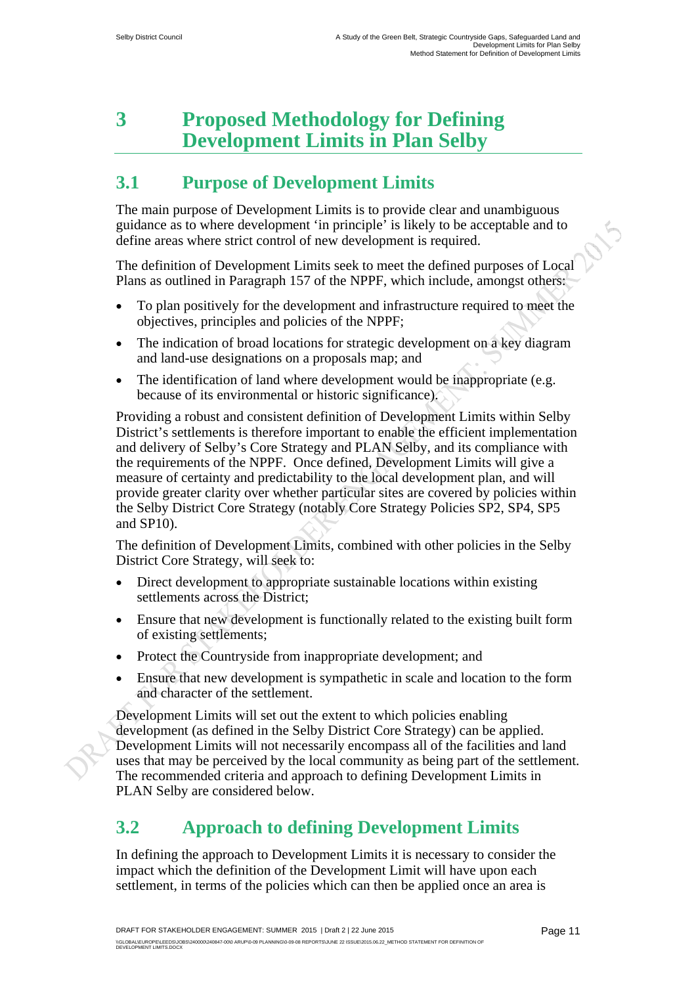### **3 Proposed Methodology for Defining Development Limits in Plan Selby**

### **3.1 Purpose of Development Limits**

The main purpose of Development Limits is to provide clear and unambiguous guidance as to where development 'in principle' is likely to be acceptable and to define areas where strict control of new development is required.

The definition of Development Limits seek to meet the defined purposes of Local Plans as outlined in Paragraph 157 of the NPPF, which include, amongst others:

- To plan positively for the development and infrastructure required to meet the objectives, principles and policies of the NPPF;
- The indication of broad locations for strategic development on a key diagram and land-use designations on a proposals map; and
- The identification of land where development would be inappropriate (e.g. because of its environmental or historic significance).

Providing a robust and consistent definition of Development Limits within Selby District's settlements is therefore important to enable the efficient implementation and delivery of Selby's Core Strategy and PLAN Selby, and its compliance with the requirements of the NPPF. Once defined, Development Limits will give a measure of certainty and predictability to the local development plan, and will provide greater clarity over whether particular sites are covered by policies within the Selby District Core Strategy (notably Core Strategy Policies SP2, SP4, SP5 and SP10).

The definition of Development Limits, combined with other policies in the Selby District Core Strategy, will seek to:

- Direct development to appropriate sustainable locations within existing settlements across the District;
- Ensure that new development is functionally related to the existing built form of existing settlements;
- Protect the Countryside from inappropriate development; and
- Ensure that new development is sympathetic in scale and location to the form and character of the settlement.

Development Limits will set out the extent to which policies enabling development (as defined in the Selby District Core Strategy) can be applied. Development Limits will not necessarily encompass all of the facilities and land uses that may be perceived by the local community as being part of the settlement. The recommended criteria and approach to defining Development Limits in PLAN Selby are considered below.

### **3.2 Approach to defining Development Limits**

In defining the approach to Development Limits it is necessary to consider the impact which the definition of the Development Limit will have upon each settlement, in terms of the policies which can then be applied once an area is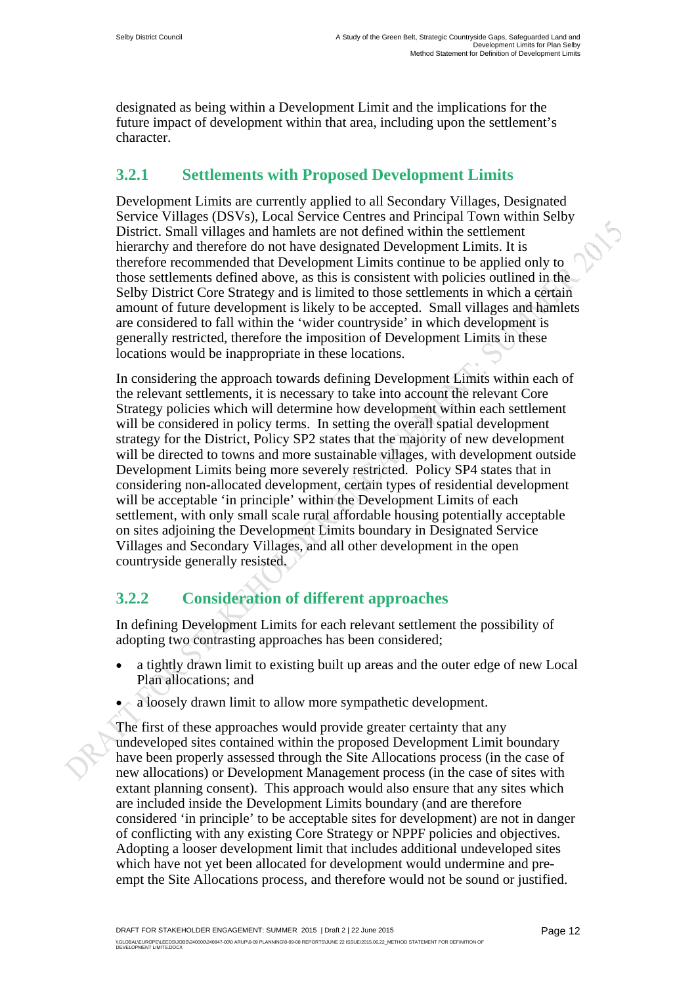designated as being within a Development Limit and the implications for the future impact of development within that area, including upon the settlement's character.

#### **3.2.1 Settlements with Proposed Development Limits**

Development Limits are currently applied to all Secondary Villages, Designated Service Villages (DSVs), Local Service Centres and Principal Town within Selby District. Small villages and hamlets are not defined within the settlement hierarchy and therefore do not have designated Development Limits. It is therefore recommended that Development Limits continue to be applied only to those settlements defined above, as this is consistent with policies outlined in the Selby District Core Strategy and is limited to those settlements in which a certain amount of future development is likely to be accepted. Small villages and hamlets are considered to fall within the 'wider countryside' in which development is generally restricted, therefore the imposition of Development Limits in these locations would be inappropriate in these locations.

In considering the approach towards defining Development Limits within each of the relevant settlements, it is necessary to take into account the relevant Core Strategy policies which will determine how development within each settlement will be considered in policy terms. In setting the overall spatial development strategy for the District, Policy SP2 states that the majority of new development will be directed to towns and more sustainable villages, with development outside Development Limits being more severely restricted. Policy SP4 states that in considering non-allocated development, certain types of residential development will be acceptable 'in principle' within the Development Limits of each settlement, with only small scale rural affordable housing potentially acceptable on sites adjoining the Development Limits boundary in Designated Service Villages and Secondary Villages, and all other development in the open countryside generally resisted.

### **3.2.2 Consideration of different approaches**

In defining Development Limits for each relevant settlement the possibility of adopting two contrasting approaches has been considered;

- a tightly drawn limit to existing built up areas and the outer edge of new Local Plan allocations; and
- a loosely drawn limit to allow more sympathetic development.

The first of these approaches would provide greater certainty that any undeveloped sites contained within the proposed Development Limit boundary have been properly assessed through the Site Allocations process (in the case of new allocations) or Development Management process (in the case of sites with extant planning consent). This approach would also ensure that any sites which are included inside the Development Limits boundary (and are therefore considered 'in principle' to be acceptable sites for development) are not in danger of conflicting with any existing Core Strategy or NPPF policies and objectives. Adopting a looser development limit that includes additional undeveloped sites which have not yet been allocated for development would undermine and preempt the Site Allocations process, and therefore would not be sound or justified.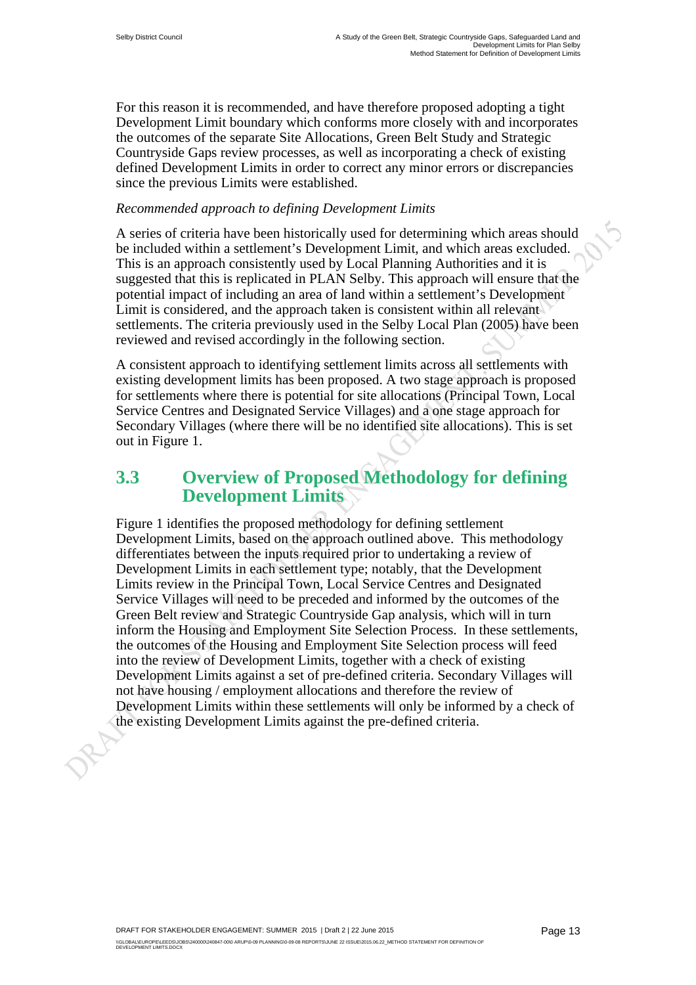For this reason it is recommended, and have therefore proposed adopting a tight Development Limit boundary which conforms more closely with and incorporates the outcomes of the separate Site Allocations, Green Belt Study and Strategic Countryside Gaps review processes, as well as incorporating a check of existing defined Development Limits in order to correct any minor errors or discrepancies since the previous Limits were established.

#### *Recommended approach to defining Development Limits*

A series of criteria have been historically used for determining which areas should be included within a settlement's Development Limit, and which areas excluded. This is an approach consistently used by Local Planning Authorities and it is suggested that this is replicated in PLAN Selby. This approach will ensure that the potential impact of including an area of land within a settlement's Development Limit is considered, and the approach taken is consistent within all relevant settlements. The criteria previously used in the Selby Local Plan (2005) have been reviewed and revised accordingly in the following section.

A consistent approach to identifying settlement limits across all settlements with existing development limits has been proposed. A two stage approach is proposed for settlements where there is potential for site allocations (Principal Town, Local Service Centres and Designated Service Villages) and a one stage approach for Secondary Villages (where there will be no identified site allocations). This is set out in Figure 1.

### **3.3 Overview of Proposed Methodology for defining Development Limits**

Figure 1 identifies the proposed methodology for defining settlement Development Limits, based on the approach outlined above. This methodology differentiates between the inputs required prior to undertaking a review of Development Limits in each settlement type; notably, that the Development Limits review in the Principal Town, Local Service Centres and Designated Service Villages will need to be preceded and informed by the outcomes of the Green Belt review and Strategic Countryside Gap analysis, which will in turn inform the Housing and Employment Site Selection Process. In these settlements, the outcomes of the Housing and Employment Site Selection process will feed into the review of Development Limits, together with a check of existing Development Limits against a set of pre-defined criteria. Secondary Villages will not have housing / employment allocations and therefore the review of Development Limits within these settlements will only be informed by a check of the existing Development Limits against the pre-defined criteria.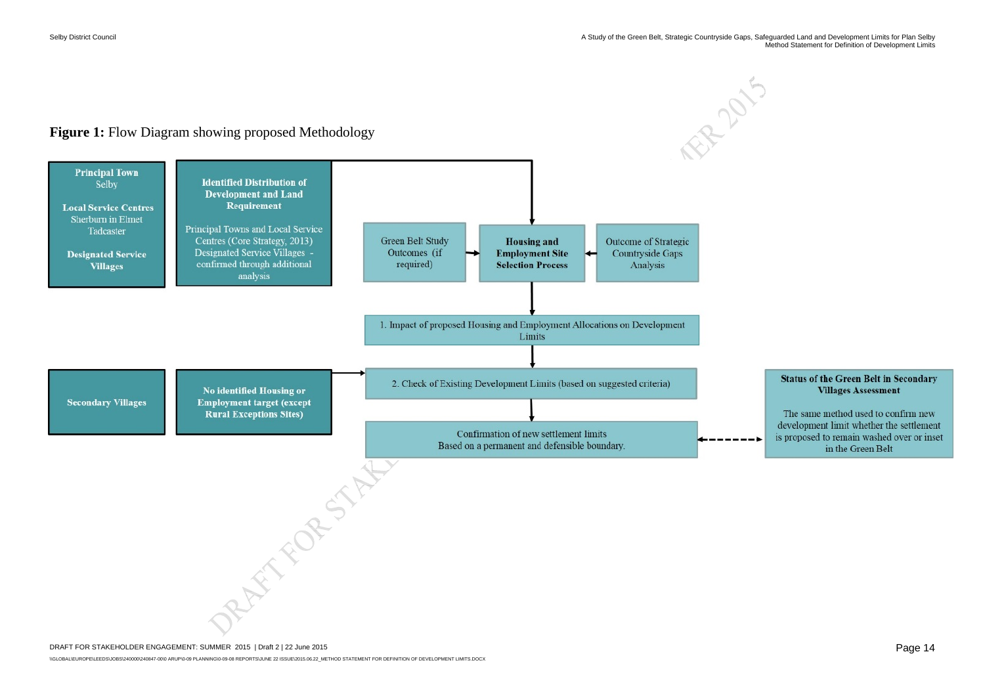

\\GLOBAL\EUROPE\LEEDS\JOBS\240000\240847-00\0 ARUP\0-09 PLANNING\0-09-08 REPORTS\JUNE 22 ISSUE\2015.06.22\_METHOD STATEMENT FOR DEFINITION OF DEVELOPMENT LIMITS.DOCX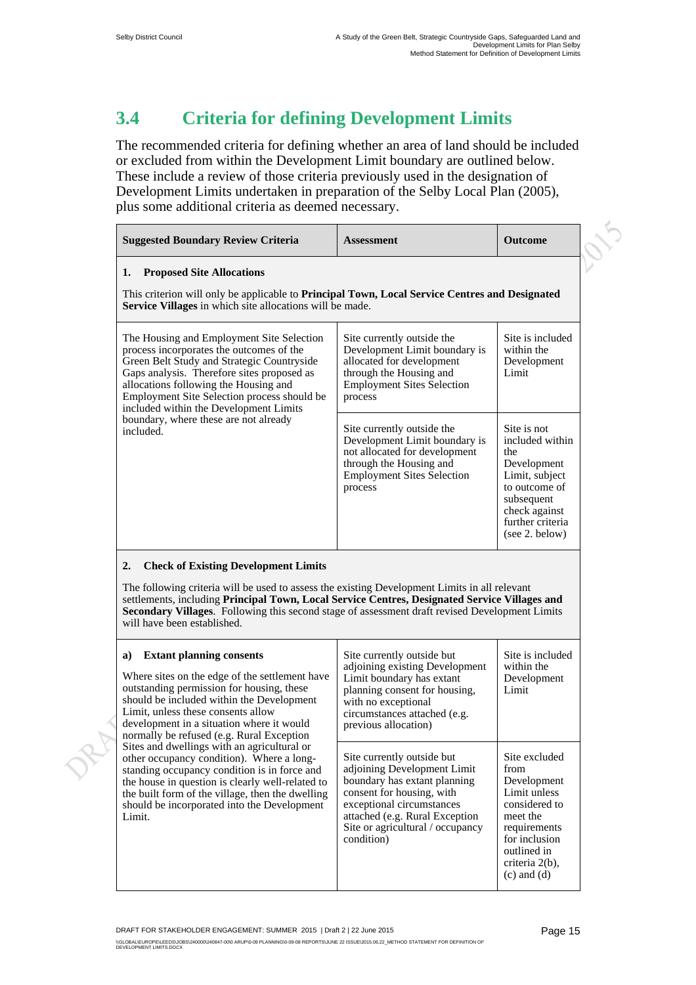### **3.4 Criteria for defining Development Limits**

The recommended criteria for defining whether an area of land should be included or excluded from within the Development Limit boundary are outlined below. These include a review of those criteria previously used in the designation of Development Limits undertaken in preparation of the Selby Local Plan (2005), plus some additional criteria as deemed necessary.

| <b>Suggested Boundary Review Criteria</b>                                                                                                                                                                                                                                                                                                                                            | <b>Assessment</b>                                                                                                                                                                                                                       | <b>Outcome</b>                                                                                                                                               |
|--------------------------------------------------------------------------------------------------------------------------------------------------------------------------------------------------------------------------------------------------------------------------------------------------------------------------------------------------------------------------------------|-----------------------------------------------------------------------------------------------------------------------------------------------------------------------------------------------------------------------------------------|--------------------------------------------------------------------------------------------------------------------------------------------------------------|
| <b>Proposed Site Allocations</b><br>1.<br>This criterion will only be applicable to Principal Town, Local Service Centres and Designated<br>Service Villages in which site allocations will be made.                                                                                                                                                                                 |                                                                                                                                                                                                                                         |                                                                                                                                                              |
| The Housing and Employment Site Selection<br>process incorporates the outcomes of the<br>Green Belt Study and Strategic Countryside<br>Gaps analysis. Therefore sites proposed as<br>allocations following the Housing and<br>Employment Site Selection process should be<br>included within the Development Limits                                                                  | Site currently outside the<br>Development Limit boundary is<br>allocated for development<br>through the Housing and<br><b>Employment Sites Selection</b><br>process                                                                     | Site is included<br>within the<br>Development<br>Limit                                                                                                       |
| boundary, where these are not already<br>included.                                                                                                                                                                                                                                                                                                                                   | Site currently outside the<br>Development Limit boundary is<br>not allocated for development<br>through the Housing and<br><b>Employment Sites Selection</b><br>process                                                                 | Site is not<br>included within<br>the<br>Development<br>Limit, subject<br>to outcome of<br>subsequent<br>check against<br>further criteria<br>(see 2. below) |
| 2.<br><b>Check of Existing Development Limits</b><br>The following criteria will be used to assess the existing Development Limits in all relevant<br>settlements, including Principal Town, Local Service Centres, Designated Service Villages and<br>Secondary Villages. Following this second stage of assessment draft revised Development Limits<br>will have been established. |                                                                                                                                                                                                                                         |                                                                                                                                                              |
| <b>Extant planning consents</b><br>a)<br>Where sites on the edge of the settlement have<br>outstanding permission for housing, these<br>should be included within the Development<br>Limit, unless these consents allow<br>development in a situation where it would<br>normally be refused (e.g. Rural Exception                                                                    | Site currently outside but<br>adjoining existing Development<br>Limit boundary has extant<br>planning consent for housing,<br>with no exceptional<br>circumstances attached (e.g.<br>previous allocation)                               | Site is included<br>within the<br>Development<br>Limit                                                                                                       |
| Sites and dwellings with an agricultural or<br>other occupancy condition). Where a long-<br>standing occupancy condition is in force and<br>the house in question is clearly well-related to<br>the built form of the village, then the dwelling<br>should be incorporated into the Development<br>Limit.                                                                            | Site currently outside but<br>adjoining Development Limit<br>boundary has extant planning<br>consent for housing, with<br>exceptional circumstances<br>attached (e.g. Rural Exception<br>Site or agricultural / occupancy<br>condition) | Site excluded<br>from<br>Development<br>Limit unless<br>considered to<br>meet the<br>requirements<br>for inclusion<br>outlined in<br>criteria 2(b),          |

 $(c)$  and  $(d)$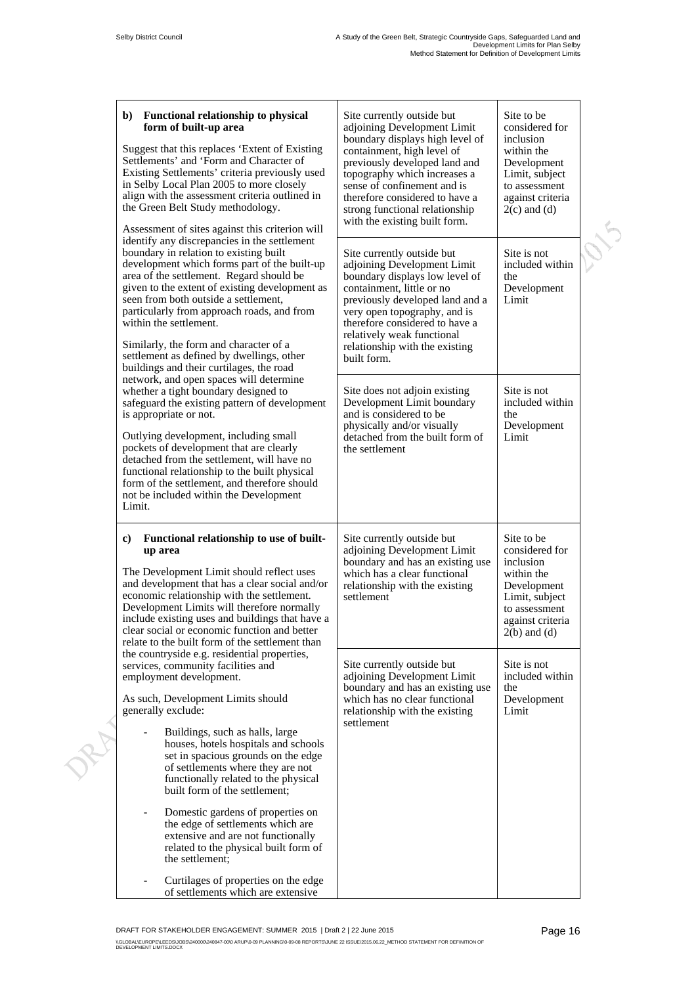$\mathcal{S}$ 

| <b>Functional relationship to physical</b><br>b)<br>form of built-up area<br>Suggest that this replaces 'Extent of Existing<br>Settlements' and 'Form and Character of<br>Existing Settlements' criteria previously used<br>in Selby Local Plan 2005 to more closely<br>align with the assessment criteria outlined in<br>the Green Belt Study methodology.<br>Assessment of sites against this criterion will                                                                                                                                                                                                                                                                                                                                                                               | Site currently outside but<br>adjoining Development Limit<br>boundary displays high level of<br>containment, high level of<br>previously developed land and<br>topography which increases a<br>sense of confinement and is<br>therefore considered to have a<br>strong functional relationship<br>with the existing built form.                                 | Site to be<br>considered for<br>inclusion<br>within the<br>Development<br>Limit, subject<br>to assessment<br>against criteria<br>$2(c)$ and $(d)$                                                                  |  |
|----------------------------------------------------------------------------------------------------------------------------------------------------------------------------------------------------------------------------------------------------------------------------------------------------------------------------------------------------------------------------------------------------------------------------------------------------------------------------------------------------------------------------------------------------------------------------------------------------------------------------------------------------------------------------------------------------------------------------------------------------------------------------------------------|-----------------------------------------------------------------------------------------------------------------------------------------------------------------------------------------------------------------------------------------------------------------------------------------------------------------------------------------------------------------|--------------------------------------------------------------------------------------------------------------------------------------------------------------------------------------------------------------------|--|
| identify any discrepancies in the settlement<br>boundary in relation to existing built<br>development which forms part of the built-up<br>area of the settlement. Regard should be<br>given to the extent of existing development as<br>seen from both outside a settlement,<br>particularly from approach roads, and from<br>within the settlement.<br>Similarly, the form and character of a<br>settlement as defined by dwellings, other<br>buildings and their curtilages, the road                                                                                                                                                                                                                                                                                                      | Site currently outside but<br>adjoining Development Limit<br>boundary displays low level of<br>containment, little or no<br>previously developed land and a<br>very open topography, and is<br>therefore considered to have a<br>relatively weak functional<br>relationship with the existing<br>built form.                                                    | Site is not<br>included within<br>the<br>Development<br>Limit                                                                                                                                                      |  |
| network, and open spaces will determine<br>whether a tight boundary designed to<br>safeguard the existing pattern of development<br>is appropriate or not.<br>Outlying development, including small<br>pockets of development that are clearly<br>detached from the settlement, will have no<br>functional relationship to the built physical<br>form of the settlement, and therefore should<br>not be included within the Development<br>Limit.                                                                                                                                                                                                                                                                                                                                            | Site does not adjoin existing<br>Development Limit boundary<br>and is considered to be<br>physically and/or visually<br>detached from the built form of<br>the settlement                                                                                                                                                                                       | Site is not<br>included within<br>the<br>Development<br>Limit                                                                                                                                                      |  |
| Functional relationship to use of built-<br>$\bf c)$<br>up area<br>The Development Limit should reflect uses<br>and development that has a clear social and/or<br>economic relationship with the settlement.<br>Development Limits will therefore normally<br>include existing uses and buildings that have a<br>clear social or economic function and better<br>relate to the built form of the settlement than<br>the countryside e.g. residential properties,<br>services, community facilities and<br>employment development.<br>As such, Development Limits should<br>generally exclude:<br>Buildings, such as halls, large<br>houses, hotels hospitals and schools<br>set in spacious grounds on the edge<br>of settlements where they are not<br>functionally related to the physical | Site currently outside but<br>adjoining Development Limit<br>boundary and has an existing use<br>which has a clear functional<br>relationship with the existing<br>settlement<br>Site currently outside but<br>adjoining Development Limit<br>boundary and has an existing use<br>which has no clear functional<br>relationship with the existing<br>settlement | Site to be<br>considered for<br>inclusion<br>within the<br>Development<br>Limit, subject<br>to assessment<br>against criteria<br>$2(b)$ and $(d)$<br>Site is not<br>included within<br>the<br>Development<br>Limit |  |
| built form of the settlement;<br>Domestic gardens of properties on<br>$\overline{\phantom{0}}$<br>the edge of settlements which are<br>extensive and are not functionally<br>related to the physical built form of<br>the settlement;<br>Curtilages of properties on the edge<br>of settlements which are extensive                                                                                                                                                                                                                                                                                                                                                                                                                                                                          |                                                                                                                                                                                                                                                                                                                                                                 |                                                                                                                                                                                                                    |  |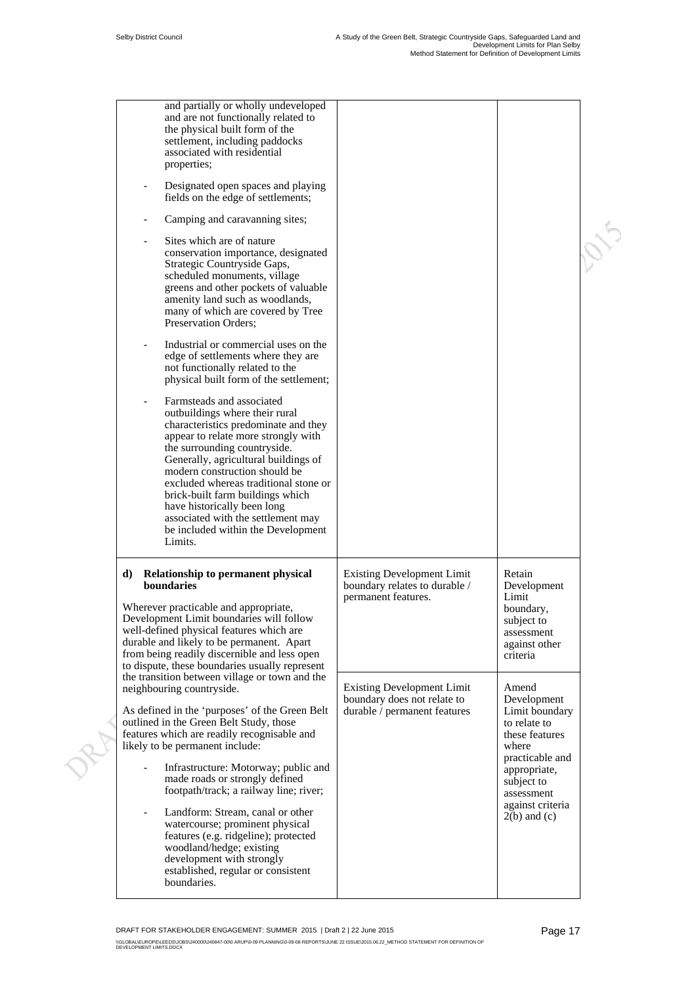|  | and partially or wholly undeveloped<br>and are not functionally related to<br>the physical built form of the<br>settlement, including paddocks<br>associated with residential<br>properties;                                                                                                                                                                                                                                                           |                                                                                                  |                                                                                                      |  |
|--|--------------------------------------------------------------------------------------------------------------------------------------------------------------------------------------------------------------------------------------------------------------------------------------------------------------------------------------------------------------------------------------------------------------------------------------------------------|--------------------------------------------------------------------------------------------------|------------------------------------------------------------------------------------------------------|--|
|  | Designated open spaces and playing<br>fields on the edge of settlements;                                                                                                                                                                                                                                                                                                                                                                               |                                                                                                  |                                                                                                      |  |
|  | Camping and caravanning sites;<br>$\overline{\phantom{0}}$                                                                                                                                                                                                                                                                                                                                                                                             |                                                                                                  |                                                                                                      |  |
|  | Sites which are of nature<br>conservation importance, designated<br>Strategic Countryside Gaps,<br>scheduled monuments, village<br>greens and other pockets of valuable<br>amenity land such as woodlands,<br>many of which are covered by Tree<br>Preservation Orders;                                                                                                                                                                                |                                                                                                  |                                                                                                      |  |
|  | Industrial or commercial uses on the<br>edge of settlements where they are<br>not functionally related to the<br>physical built form of the settlement;                                                                                                                                                                                                                                                                                                |                                                                                                  |                                                                                                      |  |
|  | Farmsteads and associated<br>outbuildings where their rural<br>characteristics predominate and they<br>appear to relate more strongly with<br>the surrounding countryside.<br>Generally, agricultural buildings of<br>modern construction should be<br>excluded whereas traditional stone or<br>brick-built farm buildings which<br>have historically been long<br>associated with the settlement may<br>be included within the Development<br>Limits. |                                                                                                  |                                                                                                      |  |
|  | <b>Relationship to permanent physical</b><br>d)<br>boundaries<br>Wherever practicable and appropriate,<br>Development Limit boundaries will follow<br>well-defined physical features which are<br>durable and likely to be permanent. Apart<br>from being readily discernible and less open<br>to dispute, these boundaries usually represent                                                                                                          | <b>Existing Development Limit</b><br>boundary relates to durable /<br>permanent features.        | Retain<br>Development<br>Limit<br>boundary,<br>subject to<br>assessment<br>against other<br>criteria |  |
|  | the transition between village or town and the<br>neighbouring countryside.<br>As defined in the 'purposes' of the Green Belt<br>outlined in the Green Belt Study, those<br>features which are readily recognisable and<br>likely to be permanent include:                                                                                                                                                                                             | <b>Existing Development Limit</b><br>boundary does not relate to<br>durable / permanent features | Amend<br>Development<br>Limit boundary<br>to relate to<br>these features<br>where                    |  |
|  | Infrastructure: Motorway; public and<br>made roads or strongly defined<br>footpath/track; a railway line; river;                                                                                                                                                                                                                                                                                                                                       |                                                                                                  | practicable and<br>appropriate,<br>subject to<br>assessment                                          |  |
|  | Landform: Stream, canal or other<br>$\overline{\phantom{0}}$<br>watercourse; prominent physical<br>features (e.g. ridgeline); protected<br>woodland/hedge; existing<br>development with strongly<br>established, regular or consistent<br>boundaries.                                                                                                                                                                                                  |                                                                                                  | against criteria<br>$2(b)$ and $(c)$                                                                 |  |
|  |                                                                                                                                                                                                                                                                                                                                                                                                                                                        |                                                                                                  |                                                                                                      |  |